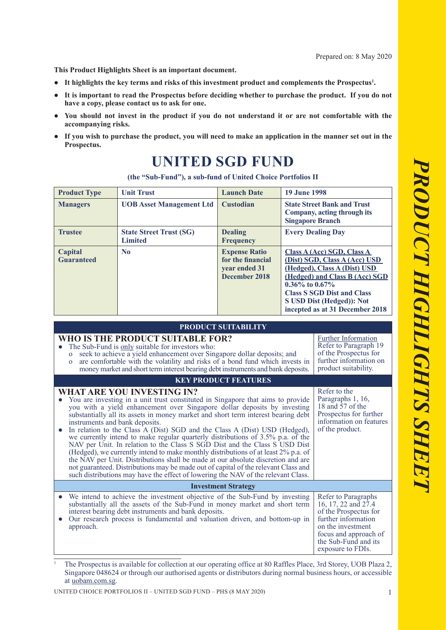**This Product Highlights Sheet is an important document.**

- **● It highlights the key terms and risks of this investment product and complements the Prospectus<sup>1</sup> .**
- **● It is important to read the Prospectus before deciding whether to purchase the product. If you do not have a copy, please contact us to ask for one.**
- You should not invest in the product if you do not understand it or are not comfortable with the **accompanying risks.**
- If you wish to purchase the product, you will need to make an application in the manner set out in the **Prospectus.**

# **UNITED SGD FUND**

**(the "Sub-Fund"), a sub-fund of United Choice Portfolios II**

| <b>Product Type</b>          | <b>Unit Trust</b>                                | <b>Launch Date</b>                                                          | <b>19 June 1998</b>                                                                                                                                                                                                                                        |
|------------------------------|--------------------------------------------------|-----------------------------------------------------------------------------|------------------------------------------------------------------------------------------------------------------------------------------------------------------------------------------------------------------------------------------------------------|
| <b>Managers</b>              | <b>UOB</b> Asset Management Ltd                  | <b>Custodian</b>                                                            | <b>State Street Bank and Trust</b><br>Company, acting through its<br><b>Singapore Branch</b>                                                                                                                                                               |
| <b>Trustee</b>               | <b>State Street Trust (SG)</b><br><b>Limited</b> | <b>Dealing</b><br><b>Frequency</b>                                          | <b>Every Dealing Day</b>                                                                                                                                                                                                                                   |
| Capital<br><b>Guaranteed</b> | N <sub>0</sub>                                   | <b>Expense Ratio</b><br>for the financial<br>year ended 31<br>December 2018 | Class A (Acc) SGD, Class A<br>(Dist) SGD, Class A (Acc) USD<br>(Hedged), Class A (Dist) USD<br>(Hedged) and Class B (Acc) SGD<br>$0.36\%$ to $0.67\%$<br><b>Class S SGD Dist and Class</b><br>S USD Dist (Hedged)): Not<br>incepted as at 31 December 2018 |

**PRODUCT SUITABILITY**

| I RUDUCT SUITABILITT                                                                                                                                                                                                                                                                                                                                                                                                                                                                                                                                                                                                                                                                                                                                                                                                                                                                                                        |                                                                                                                                                                                       |  |  |  |
|-----------------------------------------------------------------------------------------------------------------------------------------------------------------------------------------------------------------------------------------------------------------------------------------------------------------------------------------------------------------------------------------------------------------------------------------------------------------------------------------------------------------------------------------------------------------------------------------------------------------------------------------------------------------------------------------------------------------------------------------------------------------------------------------------------------------------------------------------------------------------------------------------------------------------------|---------------------------------------------------------------------------------------------------------------------------------------------------------------------------------------|--|--|--|
| WHO IS THE PRODUCT SUITABLE FOR?<br>The Sub-Fund is only suitable for investors who:<br>seek to achieve a yield enhancement over Singapore dollar deposits; and<br>$\mathbf{o}$<br>are comfortable with the volatility and risks of a bond fund which invests in<br>$\Omega$<br>money market and short term interest bearing debt instruments and bank deposits.                                                                                                                                                                                                                                                                                                                                                                                                                                                                                                                                                            | <b>Further Information</b><br>Refer to Paragraph 19<br>of the Prospectus for<br>further information on<br>product suitability.                                                        |  |  |  |
| <b>KEY PRODUCT FEATURES</b>                                                                                                                                                                                                                                                                                                                                                                                                                                                                                                                                                                                                                                                                                                                                                                                                                                                                                                 |                                                                                                                                                                                       |  |  |  |
| <b>WHAT ARE YOU INVESTING IN?</b><br>You are investing in a unit trust constituted in Singapore that aims to provide<br>you with a yield enhancement over Singapore dollar deposits by investing<br>substantially all its assets in money market and short term interest bearing debt<br>instruments and bank deposits.<br>In relation to the Class A (Dist) SGD and the Class A (Dist) USD (Hedged),<br>we currently intend to make regular quarterly distributions of 3.5% p.a. of the<br>NAV per Unit. In relation to the Class S SGD Dist and the Class S USD Dist<br>(Hedged), we currently intend to make monthly distributions of at least 2% p.a. of<br>the NAV per Unit. Distributions shall be made at our absolute discretion and are<br>not guaranteed. Distributions may be made out of capital of the relevant Class and<br>such distributions may have the effect of lowering the NAV of the relevant Class. | Refer to the<br>Paragraphs 1, 16,<br>18 and 57 of the<br>Prospectus for further<br>information on features<br>of the product.                                                         |  |  |  |
| <b>Investment Strategy</b>                                                                                                                                                                                                                                                                                                                                                                                                                                                                                                                                                                                                                                                                                                                                                                                                                                                                                                  |                                                                                                                                                                                       |  |  |  |
| We intend to achieve the investment objective of the Sub-Fund by investing<br>substantially all the assets of the Sub-Fund in money market and short term<br>interest bearing debt instruments and bank deposits.<br>Our research process is fundamental and valuation driven, and bottom-up in<br>approach.                                                                                                                                                                                                                                                                                                                                                                                                                                                                                                                                                                                                                | Refer to Paragraphs<br>16, 17, 22 and 27.4<br>of the Prospectus for<br>further information<br>on the investment<br>focus and approach of<br>the Sub-Fund and its<br>exposure to FDIs. |  |  |  |
| The Prospectus is available for collection at our operating office at 80 Raffles Place, 3rd Storey UOR Plaza 2                                                                                                                                                                                                                                                                                                                                                                                                                                                                                                                                                                                                                                                                                                                                                                                                              |                                                                                                                                                                                       |  |  |  |

 The Prospectus is available for collection at our operating office at 80 Raffles Place, 3rd Storey, UOB Plaza 2, Singapore 048624 or through our authorised agents or distributors during normal business hours, or accessible at uobam.com.sg.

UNITED CHOICE PORTFOLIOS II – UNITED SGD FUND – PHS (8 MAY 2020) 1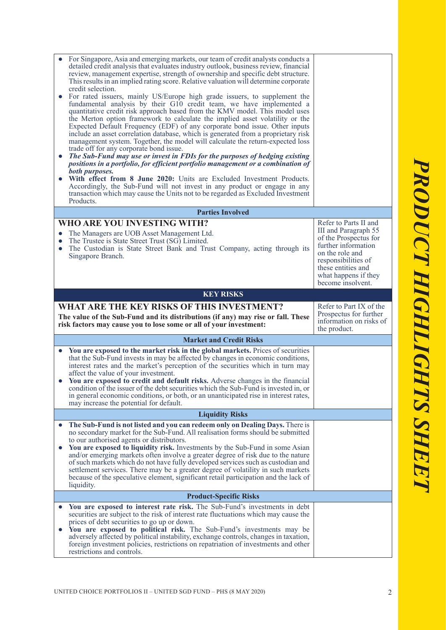| $\bullet$              | For Singapore, Asia and emerging markets, our team of credit analysts conducts a<br>detailed credit analysis that evaluates industry outlook, business review, financial<br>review, management expertise, strength of ownership and specific debt structure.<br>This results in an implied rating score. Relative valuation will determine corporate<br>credit selection.<br>For rated issuers, mainly US/Europe high grade issuers, to supplement the<br>fundamental analysis by their G10 credit team, we have implemented a<br>quantitative credit risk approach based from the KMV model. This model uses<br>the Merton option framework to calculate the implied asset volatility or the<br>Expected Default Frequency (EDF) of any corporate bond issue. Other inputs<br>include an asset correlation database, which is generated from a proprietary risk<br>management system. Together, the model will calculate the return-expected loss<br>trade off for any corporate bond issue.<br>The Sub-Fund may use or invest in FDIs for the purposes of hedging existing<br>positions in a portfolio, for efficient portfolio management or a combination of<br>both purposes.<br>With effect from 8 June 2020: Units are Excluded Investment Products.<br>Accordingly, the Sub-Fund will not invest in any product or engage in any<br>transaction which may cause the Units not to be regarded as Excluded Investment<br>Products. |                                                                                                                                                                                                            |
|------------------------|------------------------------------------------------------------------------------------------------------------------------------------------------------------------------------------------------------------------------------------------------------------------------------------------------------------------------------------------------------------------------------------------------------------------------------------------------------------------------------------------------------------------------------------------------------------------------------------------------------------------------------------------------------------------------------------------------------------------------------------------------------------------------------------------------------------------------------------------------------------------------------------------------------------------------------------------------------------------------------------------------------------------------------------------------------------------------------------------------------------------------------------------------------------------------------------------------------------------------------------------------------------------------------------------------------------------------------------------------------------------------------------------------------------------------------------|------------------------------------------------------------------------------------------------------------------------------------------------------------------------------------------------------------|
|                        | <b>Parties Involved</b>                                                                                                                                                                                                                                                                                                                                                                                                                                                                                                                                                                                                                                                                                                                                                                                                                                                                                                                                                                                                                                                                                                                                                                                                                                                                                                                                                                                                                  |                                                                                                                                                                                                            |
|                        |                                                                                                                                                                                                                                                                                                                                                                                                                                                                                                                                                                                                                                                                                                                                                                                                                                                                                                                                                                                                                                                                                                                                                                                                                                                                                                                                                                                                                                          |                                                                                                                                                                                                            |
| $\bullet$<br>$\bullet$ | <b>WHO ARE YOU INVESTING WITH?</b><br>The Managers are UOB Asset Management Ltd.<br>The Trustee is State Street Trust (SG) Limited.<br>The Custodian is State Street Bank and Trust Company, acting through its<br>Singapore Branch.                                                                                                                                                                                                                                                                                                                                                                                                                                                                                                                                                                                                                                                                                                                                                                                                                                                                                                                                                                                                                                                                                                                                                                                                     | Refer to Parts II and<br>III and Paragraph 55<br>of the Prospectus for<br>further information<br>on the role and<br>responsibilities of<br>these entities and<br>what happens if they<br>become insolvent. |
|                        |                                                                                                                                                                                                                                                                                                                                                                                                                                                                                                                                                                                                                                                                                                                                                                                                                                                                                                                                                                                                                                                                                                                                                                                                                                                                                                                                                                                                                                          |                                                                                                                                                                                                            |
|                        |                                                                                                                                                                                                                                                                                                                                                                                                                                                                                                                                                                                                                                                                                                                                                                                                                                                                                                                                                                                                                                                                                                                                                                                                                                                                                                                                                                                                                                          |                                                                                                                                                                                                            |
|                        | <b>KEY RISKS</b>                                                                                                                                                                                                                                                                                                                                                                                                                                                                                                                                                                                                                                                                                                                                                                                                                                                                                                                                                                                                                                                                                                                                                                                                                                                                                                                                                                                                                         |                                                                                                                                                                                                            |
|                        | <b>WHAT ARE THE KEY RISKS OF THIS INVESTMENT?</b><br>The value of the Sub-Fund and its distributions (if any) may rise or fall. These<br>risk factors may cause you to lose some or all of your investment:                                                                                                                                                                                                                                                                                                                                                                                                                                                                                                                                                                                                                                                                                                                                                                                                                                                                                                                                                                                                                                                                                                                                                                                                                              | Refer to Part IX of the<br>Prospectus for further<br>information on risks of                                                                                                                               |
|                        |                                                                                                                                                                                                                                                                                                                                                                                                                                                                                                                                                                                                                                                                                                                                                                                                                                                                                                                                                                                                                                                                                                                                                                                                                                                                                                                                                                                                                                          | the product.                                                                                                                                                                                               |
|                        | <b>Market and Credit Risks</b>                                                                                                                                                                                                                                                                                                                                                                                                                                                                                                                                                                                                                                                                                                                                                                                                                                                                                                                                                                                                                                                                                                                                                                                                                                                                                                                                                                                                           |                                                                                                                                                                                                            |
| $\bullet$              | You are exposed to the market risk in the global markets. Prices of securities<br>that the Sub-Fund invests in may be affected by changes in economic conditions,<br>interest rates and the market's perception of the securities which in turn may<br>affect the value of your investment.<br>You are exposed to credit and default risks. Adverse changes in the financial<br>condition of the issuer of the debt securities which the Sub-Fund is invested in, or<br>in general economic conditions, or both, or an unanticipated rise in interest rates,<br>may increase the potential for default.                                                                                                                                                                                                                                                                                                                                                                                                                                                                                                                                                                                                                                                                                                                                                                                                                                  |                                                                                                                                                                                                            |
|                        | <b>Liquidity Risks</b>                                                                                                                                                                                                                                                                                                                                                                                                                                                                                                                                                                                                                                                                                                                                                                                                                                                                                                                                                                                                                                                                                                                                                                                                                                                                                                                                                                                                                   |                                                                                                                                                                                                            |
| $\bullet$              | The Sub-Fund is not listed and you can redeem only on Dealing Days. There is<br>no secondary market for the Sub-Fund. All realisation forms should be submitted<br>to our authorised agents or distributors.<br>You are exposed to liquidity risk. Investments by the Sub-Fund in some Asian<br>and/or emerging markets often involve a greater degree of risk due to the nature<br>of such markets which do not have fully developed services such as custodian and<br>settlement services. There may be a greater degree of volatility in such markets<br>because of the speculative element, significant retail participation and the lack of<br>liquidity.                                                                                                                                                                                                                                                                                                                                                                                                                                                                                                                                                                                                                                                                                                                                                                           |                                                                                                                                                                                                            |
|                        | <b>Product-Specific Risks</b>                                                                                                                                                                                                                                                                                                                                                                                                                                                                                                                                                                                                                                                                                                                                                                                                                                                                                                                                                                                                                                                                                                                                                                                                                                                                                                                                                                                                            |                                                                                                                                                                                                            |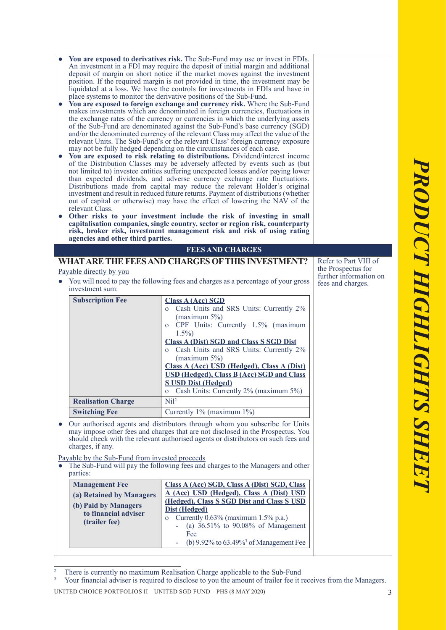| $\bullet$<br>$\bullet$<br>$\bullet$ | relevant Class.<br>agencies and other third parties.                                                                                                                                                                                                                      | You are exposed to derivatives risk. The Sub-Fund may use or invest in FDIs.<br>An investment in a FDI may require the deposit of initial margin and additional<br>deposit of margin on short notice if the market moves against the investment<br>position. If the required margin is not provided in time, the investment may be<br>liquidated at a loss. We have the controls for investments in FDIs and have in<br>place systems to monitor the derivative positions of the Sub-Fund.<br>You are exposed to foreign exchange and currency risk. Where the Sub-Fund<br>makes investments which are denominated in foreign currencies, fluctuations in<br>the exchange rates of the currency or currencies in which the underlying assets<br>of the Sub-Fund are denominated against the Sub-Fund's base currency (SGD)<br>and/or the denominated currency of the relevant Class may affect the value of the<br>relevant Units. The Sub-Fund's or the relevant Class' foreign currency exposure<br>may not be fully hedged depending on the circumstances of each case.<br>• You are exposed to risk relating to distributions. Dividend/interest income<br>of the Distribution Classes may be adversely affected by events such as (but<br>not limited to) investee entities suffering unexpected losses and/or paying lower<br>than expected dividends, and adverse currency exchange rate fluctuations.<br>Distributions made from capital may reduce the relevant Holder's original<br>investment and result in reduced future returns. Payment of distributions (whether<br>out of capital or otherwise) may have the effect of lowering the NAV of the<br>Other risks to your investment include the risk of investing in small<br>capitalisation companies, single country, sector or region risk, counterparty<br>risk, broker risk, investment management risk and risk of using rating |                                                                                            |  |  |
|-------------------------------------|---------------------------------------------------------------------------------------------------------------------------------------------------------------------------------------------------------------------------------------------------------------------------|-----------------------------------------------------------------------------------------------------------------------------------------------------------------------------------------------------------------------------------------------------------------------------------------------------------------------------------------------------------------------------------------------------------------------------------------------------------------------------------------------------------------------------------------------------------------------------------------------------------------------------------------------------------------------------------------------------------------------------------------------------------------------------------------------------------------------------------------------------------------------------------------------------------------------------------------------------------------------------------------------------------------------------------------------------------------------------------------------------------------------------------------------------------------------------------------------------------------------------------------------------------------------------------------------------------------------------------------------------------------------------------------------------------------------------------------------------------------------------------------------------------------------------------------------------------------------------------------------------------------------------------------------------------------------------------------------------------------------------------------------------------------------------------------------------------------------------------------------------------------------------------------------------|--------------------------------------------------------------------------------------------|--|--|
|                                     |                                                                                                                                                                                                                                                                           | <b>FEES AND CHARGES</b>                                                                                                                                                                                                                                                                                                                                                                                                                                                                                                                                                                                                                                                                                                                                                                                                                                                                                                                                                                                                                                                                                                                                                                                                                                                                                                                                                                                                                                                                                                                                                                                                                                                                                                                                                                                                                                                                             |                                                                                            |  |  |
|                                     | <u>Payable directly by you</u><br>investment sum:<br><b>Subscription Fee</b>                                                                                                                                                                                              | WHAT ARE THE FEES AND CHARGES OF THIS INVESTMENT?<br>• You will need to pay the following fees and charges as a percentage of your gross<br><b>Class A (Acc) SGD</b><br>o Cash Units and SRS Units: Currently 2%<br>$(\text{maximum } 5\%)$<br>CPF Units: Currently 1.5% (maximum<br>$\mathbf O$<br>$1.5\%$<br><b>Class A (Dist) SGD and Class S SGD Dist</b><br>Cash Units and SRS Units: Currently 2%<br>$\overline{O}$<br>(maximum $5\%$ )<br>Class A (Acc) USD (Hedged), Class A (Dist)<br><b>USD (Hedged), Class B (Acc) SGD and Class</b><br><b>S USD Dist (Hedged)</b><br>Cash Units: Currently 2% (maximum 5%)<br>$\mathbf O$                                                                                                                                                                                                                                                                                                                                                                                                                                                                                                                                                                                                                                                                                                                                                                                                                                                                                                                                                                                                                                                                                                                                                                                                                                                               | Refer to Part VIII of<br>the Prospectus for<br>further information on<br>fees and charges. |  |  |
|                                     | <b>Realisation Charge</b>                                                                                                                                                                                                                                                 | Ni <sup>2</sup>                                                                                                                                                                                                                                                                                                                                                                                                                                                                                                                                                                                                                                                                                                                                                                                                                                                                                                                                                                                                                                                                                                                                                                                                                                                                                                                                                                                                                                                                                                                                                                                                                                                                                                                                                                                                                                                                                     |                                                                                            |  |  |
|                                     | <b>Switching Fee</b>                                                                                                                                                                                                                                                      | Currently 1% (maximum 1%)                                                                                                                                                                                                                                                                                                                                                                                                                                                                                                                                                                                                                                                                                                                                                                                                                                                                                                                                                                                                                                                                                                                                                                                                                                                                                                                                                                                                                                                                                                                                                                                                                                                                                                                                                                                                                                                                           |                                                                                            |  |  |
|                                     | • Our authorised agents and distributors through whom you subscribe for Units<br>may impose other fees and charges that are not disclosed in the Prospectus. You<br>should check with the relevant authorised agents or distributors on such fees and<br>charges, if any. |                                                                                                                                                                                                                                                                                                                                                                                                                                                                                                                                                                                                                                                                                                                                                                                                                                                                                                                                                                                                                                                                                                                                                                                                                                                                                                                                                                                                                                                                                                                                                                                                                                                                                                                                                                                                                                                                                                     |                                                                                            |  |  |
|                                     | Payable by the Sub-Fund from invested proceeds                                                                                                                                                                                                                            |                                                                                                                                                                                                                                                                                                                                                                                                                                                                                                                                                                                                                                                                                                                                                                                                                                                                                                                                                                                                                                                                                                                                                                                                                                                                                                                                                                                                                                                                                                                                                                                                                                                                                                                                                                                                                                                                                                     |                                                                                            |  |  |
|                                     | The Sub-Fund will pay the following fees and charges to the Managers and other<br>parties:                                                                                                                                                                                |                                                                                                                                                                                                                                                                                                                                                                                                                                                                                                                                                                                                                                                                                                                                                                                                                                                                                                                                                                                                                                                                                                                                                                                                                                                                                                                                                                                                                                                                                                                                                                                                                                                                                                                                                                                                                                                                                                     |                                                                                            |  |  |
|                                     | <b>Management Fee</b>                                                                                                                                                                                                                                                     | Class A (Acc) SGD, Class A (Dist) SGD, Class<br>A (Acc) USD (Hedged), Class A (Dist) USD                                                                                                                                                                                                                                                                                                                                                                                                                                                                                                                                                                                                                                                                                                                                                                                                                                                                                                                                                                                                                                                                                                                                                                                                                                                                                                                                                                                                                                                                                                                                                                                                                                                                                                                                                                                                            |                                                                                            |  |  |
|                                     | (a) Retained by Managers<br>(b) Paid by Managers<br>to financial adviser<br>(trailer fee)                                                                                                                                                                                 | (Hedged), Class S SGD Dist and Class S USD<br><b>Dist (Hedged)</b><br>Currently 0.63% (maximum 1.5% p.a.)<br>$\mathbf{O}$<br>(a) $36.51\%$ to $90.08\%$ of Management<br>÷,<br>Fee                                                                                                                                                                                                                                                                                                                                                                                                                                                                                                                                                                                                                                                                                                                                                                                                                                                                                                                                                                                                                                                                                                                                                                                                                                                                                                                                                                                                                                                                                                                                                                                                                                                                                                                  |                                                                                            |  |  |
|                                     |                                                                                                                                                                                                                                                                           | (b) $9.92\%$ to $63.49\%$ <sup>3</sup> of Management Fee                                                                                                                                                                                                                                                                                                                                                                                                                                                                                                                                                                                                                                                                                                                                                                                                                                                                                                                                                                                                                                                                                                                                                                                                                                                                                                                                                                                                                                                                                                                                                                                                                                                                                                                                                                                                                                            |                                                                                            |  |  |

 $\overline{2}$  There is currently no maximum Realisation Charge applicable to the Sub-Fund

UNITED CHOICE PORTFOLIOS II – UNITED SGD FUND – PHS (8 MAY 2020) 3 3 Your financial adviser is required to disclose to you the amount of trailer fee it receives from the Managers.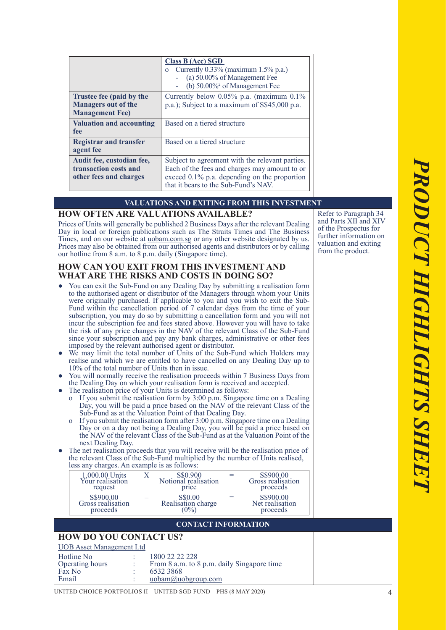|                                                                                  | <b>Class B (Acc) SGD</b><br>o Currently $0.33\%$ (maximum 1.5% p.a.)<br>(a) 50.00% of Management Fee<br>(b) $50.00\%$ <sup>2</sup> of Management Fee                                     |
|----------------------------------------------------------------------------------|------------------------------------------------------------------------------------------------------------------------------------------------------------------------------------------|
| Trustee fee (paid by the<br><b>Managers out of the</b><br><b>Management Fee)</b> | Currently below $0.05\%$ p.a. (maximum $0.1\%$ )<br>p.a.); Subject to a maximum of S\$45,000 p.a.                                                                                        |
| <b>Valuation and accounting</b><br>fee                                           | Based on a tiered structure                                                                                                                                                              |
| <b>Registrar and transfer</b><br>agent fee                                       | Based on a tiered structure                                                                                                                                                              |
| Audit fee, custodian fee,<br>transaction costs and<br>other fees and charges     | Subject to agreement with the relevant parties.<br>Each of the fees and charges may amount to or<br>exceed 0.1% p.a. depending on the proportion<br>that it bears to the Sub-Fund's NAV. |

#### **VALUATIONS AND EXITING FROM THIS INVESTMENT**

### **HOW OFTEN ARE VALUATIONS AVAILABLE?**

Prices of Units will generally be published 2 Business Days after the relevant Dealing Day in local or foreign publications such as The Straits Times and The Business Times, and on our website at uobam.com.sg or any other website designated by us. Prices may also be obtained from our authorised agents and distributors or by calling our hotline from 8 a.m. to 8 p.m. daily (Singapore time).

#### **HOW CAN YOU EXIT FROM THIS INVESTMENT AND WHAT ARE THE RISKS AND COSTS IN DOING SO?**

- You can exit the Sub-Fund on any Dealing Day by submitting a realisation form to the authorised agent or distributor of the Managers through whom your Units were originally purchased. If applicable to you and you wish to exit the Sub-Fund within the cancellation period of 7 calendar days from the time of your subscription, you may do so by submitting a cancellation form and you will not incur the subscription fee and fees stated above. However you will have to take the risk of any price changes in the NAV of the relevant Class of the Sub-Fund since your subscription and pay any bank charges, administrative or other fees imposed by the relevant authorised agent or distributor.
- We may limit the total number of Units of the Sub-Fund which Holders may realise and which we are entitled to have cancelled on any Dealing Day up to 10% of the total number of Units then in issue.
- You will normally receive the realisation proceeds within 7 Business Days from the Dealing Day on which your realisation form is received and accepted.
- The realisation price of your Units is determined as follows:
	- If you submit the realisation form by  $3:00$  p.m. Singapore time on a Dealing Day, you will be paid a price based on the NAV of the relevant Class of the Sub-Fund as at the Valuation Point of that Dealing Day.
	- o If you submit the realisation form after  $3:00$  p.m. Singapore time on a Dealing Day or on a day not being a Dealing Day, you will be paid a price based on the NAV of the relevant Class of the Sub-Fund as at the Valuation Point of the next Dealing Day.
- The net realisation proceeds that you will receive will be the realisation price of the relevant Class of the Sub-Fund multiplied by the number of Units realised, less any charges. An example is as follows:

| 1,000.00 Units<br>Your realisation<br>request | S\$0.900<br>Notional realisation<br>price | S\$900.00<br>Gross realisation<br>proceeds |
|-----------------------------------------------|-------------------------------------------|--------------------------------------------|
| S\$900.00<br>Gross realisation<br>proceeds    | S\$0.00<br>Realisation charge             | S\$900.00<br>Net realisation<br>proceeds   |
|                                               |                                           |                                            |

#### **CONTACT INFORMATION**

## **HOW DO YOU CONTACT US?**

| UOB Asset Management Ltd |                                            |
|--------------------------|--------------------------------------------|
| Hotline No               | 1800 22 22 228                             |
| Operating hours          | From 8 a.m. to 8 p.m. daily Singapore time |
| Fax No                   | 6532 3868                                  |

| Email |  | $u$ obam $\omega$ uoberoup.com |
|-------|--|--------------------------------|
|-------|--|--------------------------------|

Refer to Paragraph 34 and Parts XII and XIV of the Prospectus for further information on valuation and exiting from the product.